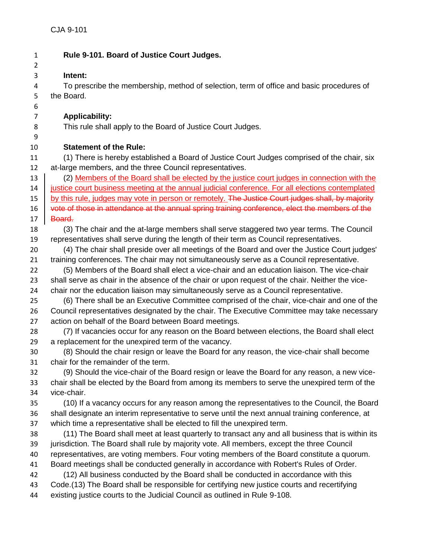| $\mathbf{1}$   | Rule 9-101. Board of Justice Court Judges.                                                       |
|----------------|--------------------------------------------------------------------------------------------------|
| $\overline{2}$ |                                                                                                  |
| 3              | Intent:                                                                                          |
| 4              | To prescribe the membership, method of selection, term of office and basic procedures of         |
| 5              | the Board.                                                                                       |
| 6              |                                                                                                  |
| 7              | <b>Applicability:</b>                                                                            |
| 8              | This rule shall apply to the Board of Justice Court Judges.                                      |
| 9              |                                                                                                  |
| 10             | <b>Statement of the Rule:</b>                                                                    |
| 11             | (1) There is hereby established a Board of Justice Court Judges comprised of the chair, six      |
| 12             | at-large members, and the three Council representatives.                                         |
| 13             | (2) Members of the Board shall be elected by the justice court judges in connection with the     |
| 14             | justice court business meeting at the annual judicial conference. For all elections contemplated |
| 15             | by this rule, judges may vote in person or remotely. The Justice Court judges shall, by majority |
| 16             | vote of those in attendance at the annual spring training conference, elect the members of the   |
| 17             | Board.                                                                                           |
| 18             | (3) The chair and the at-large members shall serve staggered two year terms. The Council         |
| 19             | representatives shall serve during the length of their term as Council representatives.          |
| 20             | (4) The chair shall preside over all meetings of the Board and over the Justice Court judges'    |
| 21             | training conferences. The chair may not simultaneously serve as a Council representative.        |
| 22             | (5) Members of the Board shall elect a vice-chair and an education liaison. The vice-chair       |
| 23             | shall serve as chair in the absence of the chair or upon request of the chair. Neither the vice- |
| 24             | chair nor the education liaison may simultaneously serve as a Council representative.            |
| 25             | (6) There shall be an Executive Committee comprised of the chair, vice-chair and one of the      |
| 26             | Council representatives designated by the chair. The Executive Committee may take necessary      |
| 27             | action on behalf of the Board between Board meetings.                                            |
| 28             | (7) If vacancies occur for any reason on the Board between elections, the Board shall elect      |
| 29             | a replacement for the unexpired term of the vacancy.                                             |
| 30             | (8) Should the chair resign or leave the Board for any reason, the vice-chair shall become       |
| 31             | chair for the remainder of the term.                                                             |
| 32             | (9) Should the vice-chair of the Board resign or leave the Board for any reason, a new vice-     |
| 33             | chair shall be elected by the Board from among its members to serve the unexpired term of the    |
| 34             | vice-chair.                                                                                      |
| 35             | (10) If a vacancy occurs for any reason among the representatives to the Council, the Board      |
| 36             | shall designate an interim representative to serve until the next annual training conference, at |
| 37             | which time a representative shall be elected to fill the unexpired term.                         |
| 38             | (11) The Board shall meet at least quarterly to transact any and all business that is within its |
| 39             | jurisdiction. The Board shall rule by majority vote. All members, except the three Council       |
| 40             | representatives, are voting members. Four voting members of the Board constitute a quorum.       |
| 41             | Board meetings shall be conducted generally in accordance with Robert's Rules of Order.          |
| 42             | (12) All business conducted by the Board shall be conducted in accordance with this              |
| 43             | Code.(13) The Board shall be responsible for certifying new justice courts and recertifying      |
| 44             | existing justice courts to the Judicial Council as outlined in Rule 9-108.                       |